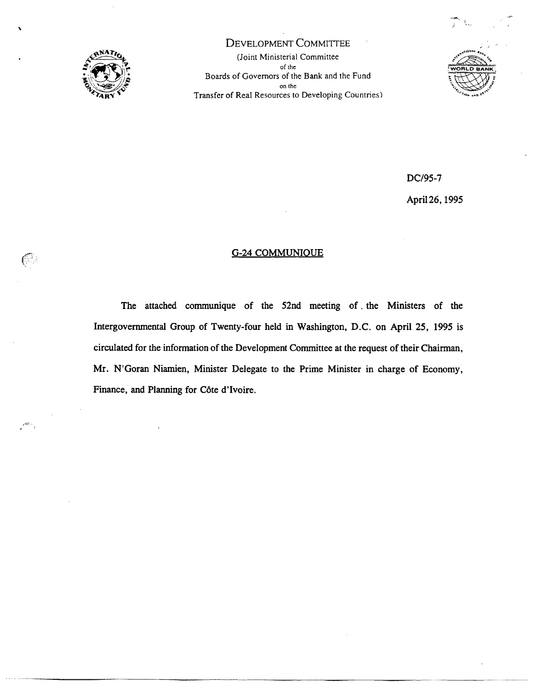

 $\mathcal{C}$ 

DEVELOPMENT COMMITTEE (Joint Ministerial Committee of the **Nights**  $\frac{1}{2}$ Boards of Govemors of the Bank and the Fund  $\sum_{i=1}^{n}$  and the  $\sum_{i=1}^{n}$ Transfer of Real Resources to Developing Countries)



DC/95-7

April26, 1995

# G-24 COMMUNIOUE

The attached communique of the 52nd meeting of . the Ministers of the Intergovermnental Group of Twenty-four held in Washington, D.C. on April 25, 1995 is circulated for the information of the Development Committee at the request of their Chairman, Mr. N'Goran Niamien, Minister Delegate to the Prime Minister in charge of Economy, Finance, and Planning for C6te d'Ivoire.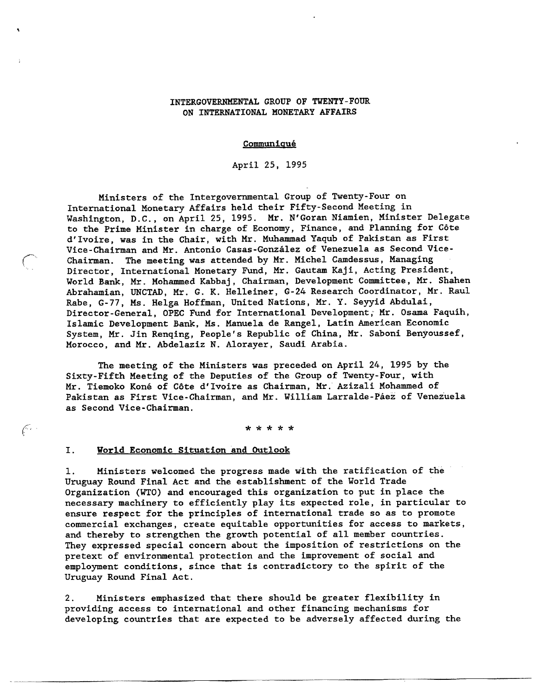## INTERGOVERNMENTAL GROUP OF TWENTY-FOUR ON INTERNATIONAL MONETARY AFFAIRS

#### **Communiqué**

April 25, 1995

Ministers of the Intergovernmental Group of Twenty-Four on International Monetary Affairs held their Fifty-Second Meeting in Washington, D.C., on April 25, 1995. Mr. N'Goran Niamien, Ninister Delegate to the Prime Minister in charge of Economy, Finance, and Planning for C6te d'Ivoire, was in the Chair, with Mr. Muhammad Yaqub of Pakistan as First Vice-Chairman and Mr. Antonio Casas-González of Venezuela as Second Vice-Chairman. The meeting was attended by Mr. Michel Camdessus, Managing Director, International Monetary Fund, Mr. Gautam Kaji, Acting President, World Bank, Mr. Mohammed Kabbaj, Chairman, Development Committee, Mr. Shahen Abrahamian, UNCTAD, Mr. G. K. Helleiner, G-24 Research Coordinator, Mr. Raul Rabe, G-77, Ms. Helga Hoffman, United Nations, Mr. Y. Seyyid Abdulai, Director-General, OPEC Fund for International Development; Mr. Osama Faquih, Islamic Development Bank, Ms. Manuela de Rangel, Latin American Economic System, Mr. Jin Renqing, People's Republic of China, Mr. Saboni Benyoussef, Morocco, and Mr. Abdelaziz N. Alorayer, Saudi Arabia.

The meeting of the Ministers was preceded on April 24, 1995 by the Sixty-Fifth Meeting of the Deputies of the Group of Twenty-Four, with Mr. Tiemoko Kone of C6te d'Ivoire as Chairman, Mr. Azizali Mohammed of Pakistan as First Vice-Chairman, and Mr. William Larralde-Paez of Venezuela as Second Vice-Chairman.

\* \* \* \* \*

#### I. World Economic Situation and Outlook

 $\mathscr{C}$ 

1. Ministers welcomed the progress made with the ratification of the Uruguay Round Final Act and the establishment of the World Trade Organization (WTO) and encouraged this organization to put in place the necessary machinery to efficiently play its expected role, in particular to ensure respect for the principles of international trade so as to promote commercial exchanges, create equitable opportunities for access to markets, and thereby to strengthen the growth potential of all member countries. They expressed special concern about the imposition of restrictions on the pretext of environmental protection and the improvement of social and employment conditions, since that is contradictory to the spirit of the Uruguay Round Final Act.

2. Ministers emphasized that there should be greater flexibility in providing access to international and other financing mechanisms for developing countries that are expected to be adversely affected during the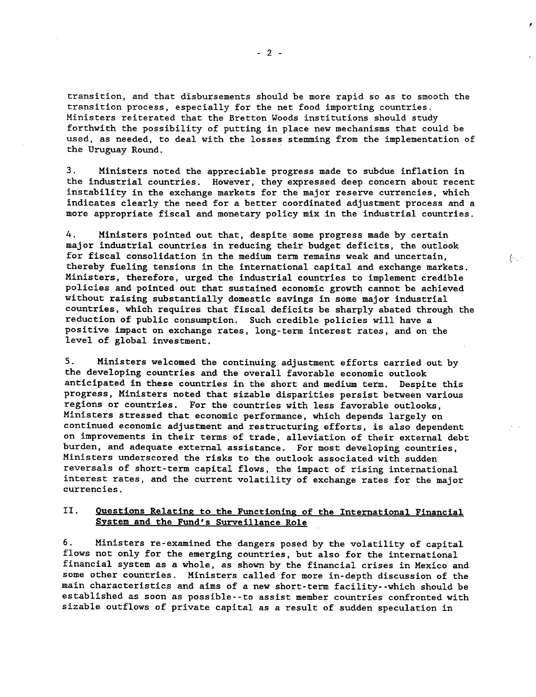transition, and that disbursements should be more rapid so as to smooth the transition process, especially for the net food importing countries. Ministers reiterated that the Bretton Woods institutions should study forthwith the possibility of putting in place new mechanisms that could be used, as needed, to deal with the losses stemming from the implementation of the Uruguay Round.

3. Ministers noted the appreciable progress made to subdue inflation in the industrial countries. However, they expressed deep concern about recent instability in the exchange markets for the major reserve currencies, which indicates clearly the need for a better coordinated adjustment process and a more appropriate fiscal and monetary policy mix in the industrial countries.

4. Ministers pointed out that, despite some progress made by certain major industrial countries in reducing their budget deficits, the outlook for fiscal consolidation in the medium term remains weak and uncertain, thereby fueling tensions in the international capital and exchange markets. Ministers, therefore, urged the industrial countries to implement credible policies and pointed out that sustained economic growth cannot be achieved without raising substantially domestic savings in some major industrial countries, which requires that fiscal deficits be sharply abated through the reduction of public consumption. Such credible policies will have a positive impact on exchange rates, long-term interest rates, and on the level of global investment.

 $(\cdot,\cdot)$ 

5. Ministers welcomed the continuing adjustment efforts carried out by the developing countries and the overall favorable economic outlook anticipated in these countries in the short and medium term. Despite this progress, Ministers noted that sizable disparities persist between various regions or countries. For the countries with less favorable outlooks, Ministers stressed that economic performance, which depends largely on continued economic adjustment and restructuring efforts, is also dependent on improvements in their terms of trade, alleviation of their external debt burden, and adequate external assistance. For most developing countries, Ministers underscored the risks to the outlook associated with sudden reversals of short-term capital flows, the impact of rising international interest rates, and the current volatility of exchange rates for the major currencies.

# II. **Ouestions Relating to the Functioning** of **the** International Financial System and the Fund's Surveillance Role

6. Ministers re-examined the dangers posed by the volatility of capital flows not only for the emerging countries, but also for the international financial system as a whole, as shown by the financial crises in Mexico and some other countries. Ministers called for more in-depth discussion of the main characteristics and aims of a new short-term facility--which should be established as soon as possible--to assist member countries confronted with sizable outflows of private capital as a result of sudden speculation in

-2-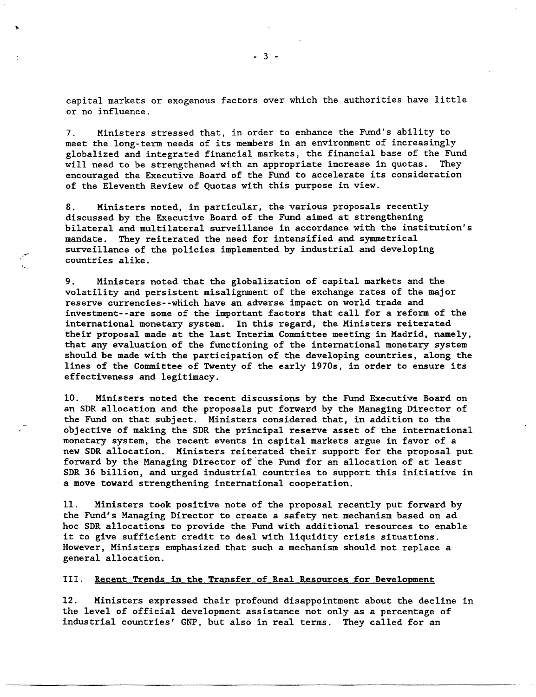capital markets or exogenous factors over which the authorities have little or no influence.

7. Ministers stressed that, in order to enhance the Fund's ability to meet the long-term needs of its members in an environment of increasingly globalized and integrated financial markets, the financial base of the Fund will need to be strengthened with an appropriate increase in quotas. They encouraged the Executive Board of the Fund to accelerate its consideration of the Eleventh Review of Quotas with this purpose in view.

8. Ministers noted, in particular, the various proposals recently discussed by the Executive Board of the Fund aimed at strengthening bilateral and multilateral surveillance in accordance with the institution's mandate. They reiterated the need for intensified and symmetrical surveillance of the policies implemented by industrial and developing countries alike.

9. Ministers noted that the globalization of capital markets and the volatility and persistent misalignment of the exchange rates of the major reserve currencies--which have an adverse impact on world trade and investment--are some of the important factors that call for a reform of the international monetary system. In this regard, the Ministers reiterated their proposal made at the last Interim Committee meeting in Madrid, namely, that any evaluation of the functioning of the international monetary system should be made with the participation of the developing countries, along the lines of the Committee of Twenty of the early 1970s, in order to ensure its effectiveness and legitimacy.

10. Ministers noted the recent discussions by the Fund Executive Board on an SDR allocation and the proposals put forward by the Managing Director of the Fund on that subject. Ministers considered that, in addition to the objective of making the SDR the principal reserve asset of the international monetary system, the recent events in capital markets argue in favor of a new SDR allocation. Ministers reiterated their support for the proposal put forward by the Managing Director of the Fund for an allocation of at least SDR 36 billion, and urged industrial countries to support this initiative in a move toward strengthening international cooperation.

11. Ministers took positive note of the proposal recently put forward by the Fund's Managing Director to create a safety net mechanism based on ad hoc SDR allocations to provide the Fund with additional resources to enable it to give sufficient credit to deal with liquidity crisis situations. However, Ministers emphasized that such a mechanism should not replace a general allocation.

III. Recent Trends in the Transfer of Real Resources for Development

12. Ministers expressed their profound disappointment about the decline in the level of official development assistance not only as a percentage of industrial countries' CNP, but also in real terms. They called for an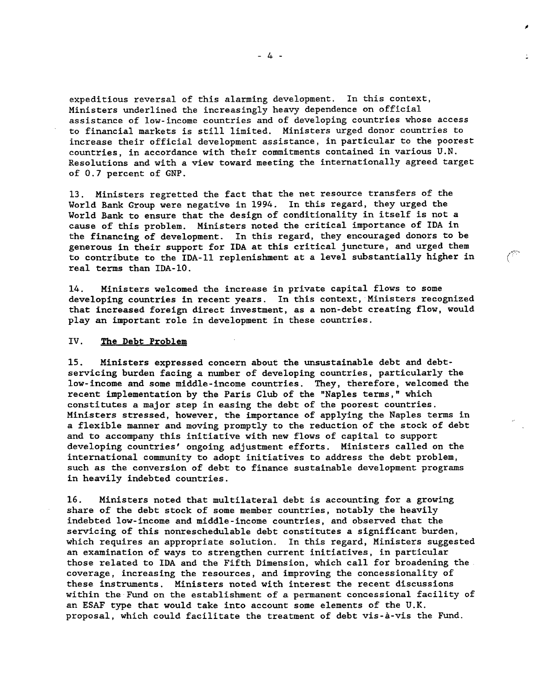expeditious reversal of this alarming development. In this context, Ministers underlined the increasingly heavy dependence on official assistance of low-income countries and of developing countries whose access to financial markets is still limited. Ministers urged donor countries to increase their official development assistance, in particular to the poorest countries, in accordance with their commitments contained in various U.N. Resolutions and with a view toward meeting the internationally agreed target of 0.7 percent of GNP.

13. Ministers regretted the fact that the net resource transfers of the World Bank Group were negative in 1994. In this regard, they urged the World Bank to ensure that the design of conditionality in itself is not a cause of this problem. Ministers noted the critical importance of IDA in the financing of development. In this regard, they encouraged donors to be generous in their support for IDA at this critical juncture, and urged them to contribute to the IDA-ll replenishment at a level substantially higher in real terms than IDA-10.

 $\mathbb{C}^{\mathbb{C}}$ 

14. Ministers welcomed the increase in private capital flows to some developing countries in recent years. In this context, Ministers recognized that increased foreign direct investment, as a non-debt creating flow, would play an important role in development in these countries.

#### IV. The Debt Problem

15. Ministers expressed concern about the unsustainable debt and debtservicing burden facing a number of developing countries, particularly the low-income and some middle-income countries. They, therefore, welcomed the recent implementation by the Paris Club of the "Naples terms," which constitutes a major step in easing the debt of the poorest countries. Ministers stressed, however, the importance of applying the Naples terms in a flexible manner and moving promptly to the reduction of the stock of debt and to accompany this initiative with new flows of capital to support developing countries' ongoing adjustment efforts. Ministers called on the international community to adopt initiatives to address the debt problem, such as the conversion of debt to finance sustainable development programs in heavily indebted countries.

16. Ministers noted that multilateral debt is accounting for a growing share of the debt stock of some member countries, notably the heavily indebted low-income and middle-income countries, and observed that the servicing of this nonreschedulable debt constitutes a significant burden, which requires an appropriate solution. In this regard, Ministers suggested an examination of ways to strengthen current initiatives, in particular those related to IDA and the Fifth Dimension, which call for broadening the coverage, increasing the resources, and improving the concessionality of these instruments. Ministers noted with interest the recent discussions within the Fund on the establishment of a permanent concessional facility of an ESAF type that would take into account some elements of the U.K. proposal, which could facilitate the treatment of debt vis-à-vis the Fund.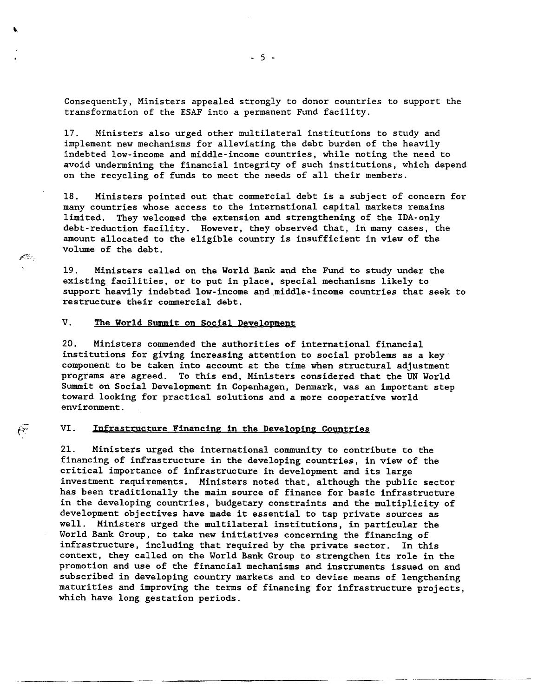Consequently, Ministers appealed strongly to donor countries to support the transformation of the ESAF into a permanent Fund facility.

17. Ministers also urged other multilateral institutions to study and implement new mechanisms for alleviating the debt burden of the heavily indebted low-income and middle-income countries, while noting the need to avoid undermining the financial integrity of such institutions, which depend on the recycling of funds to meet the needs of all their members.

18. Ministers pointed out that commercial debt is a subject of concern for many countries whose access to the international capital markets remains limited. They welcomed the extension and strengthening of the IDA-only debt-reduction facility. However, they observed that, in many cases, the amount allocated to the eligible country is insufficient in view of the volume of the debt.

19. Ministers called on the World Bank and the Fund to study under the existing facilities, or to put in place, special mechanisms likely to support heavily indebted low-income and middle-income countries that seek to restructure their commercial debt.

# V. **The World Summit** on **Social Development**

والمجيئتين

 $\sqrt{2}$ 

20. Ministers commended the authorities of international financial institutions for giving increasing attention to social problems as a key component to be taken into account at the time when structural adjustment programs are agreed. To this end, Ministers considered that the UN World Summit on Social Development in Copenhagen, Denmark, was an important step toward looking for practical solutions and a more cooperative world environment.

## VI. Infrastructure **Financing in the Developing Countries**

21. Ministers urged the international community to contribute to the financing of infrastructure in the developing countries, in view of the critical importance of infrastructure in development and its large investment requirements. Ministers noted that, although the public sector has been traditionally the main source of finance for basic infrastructure in the developing countries, budgetary constraints and the multiplicity of development objectives have made it essential to tap private sources as well. Ministers urged the multilateral institutions, in particular the World Bank Group, to take new initiatives concerning the financing of infrastructure, including that required by the private sector. In this context, they called on the World Bank Group to strengthen its role in the promotion and use of the financial mechanisms and instruments issued on and subscribed in developing country markets and to devise means of lengthening maturities and improving the terms of financing for infrastructure projects, which have long gestation periods.